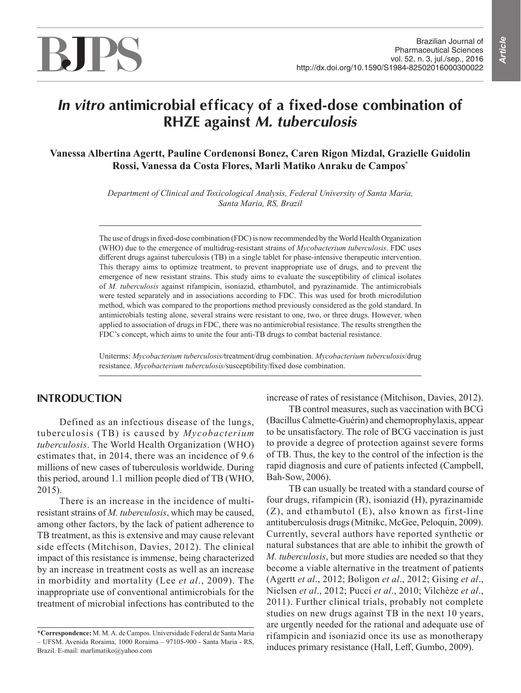# *In vitro* **antimicrobial efficacy of a fixed-dose combination of RHZE against** *M. tuberculosis*

**Vanessa Albertina Agertt, Pauline Cordenonsi Bonez, Caren Rigon Mizdal, Grazielle Guidolin Rossi, Vanessa da Costa Flores, Marli Matiko Anraku de Campos\***

> *Department of Clinical and Toxicological Analysis, Federal University of Santa Maria, Santa Maria, RS, Brazil*

The use of drugs in fixed-dose combination (FDC) is now recommended by the World Health Organization (WHO) due to the emergence of multidrug-resistant strains of *Mycobacterium tuberculosis*. FDC uses different drugs against tuberculosis (TB) in a single tablet for phase-intensive therapeutic intervention. This therapy aims to optimize treatment, to prevent inappropriate use of drugs, and to prevent the emergence of new resistant strains. This study aims to evaluate the susceptibility of clinical isolates of *M. tuberculosis* against rifampicin, isoniazid, ethambutol, and pyrazinamide. The antimicrobials were tested separately and in associations according to FDC. This was used for broth microdilution method, which was compared to the proportions method previously considered as the gold standard. In antimicrobials testing alone, several strains were resistant to one, two, or three drugs. However, when applied to association of drugs in FDC, there was no antimicrobial resistance. The results strengthen the FDC's concept, which aims to unite the four anti-TB drugs to combat bacterial resistance.

Uniterms: *Mycobacterium tuberculosis/*treatment/drug combination. *Mycobacterium tuberculosis*/drug resistance. *Mycobacterium tuberculosis/*susceptibility/fixed dose combination.

# **INTRODUCTION**

Defined as an infectious disease of the lungs, tuberculosis (TB) is caused by *Mycobacterium tuberculosis*. The World Health Organization (WHO) estimates that, in 2014, there was an incidence of 9.6 millions of new cases of tuberculosis worldwide. During this period, around 1.1 million people died of TB (WHO, 2015).

There is an increase in the incidence of multiresistant strains of *M. tuberculosis*, which may be caused, among other factors, by the lack of patient adherence to TB treatment, as this is extensive and may cause relevant side effects (Mitchison, Davies, 2012). The clinical impact of this resistance is immense, being characterized by an increase in treatment costs as well as an increase in morbidity and mortality (Lee *et al*., 2009). The inappropriate use of conventional antimicrobials for the treatment of microbial infections has contributed to the increase of rates of resistance (Mitchison, Davies, 2012).

TB control measures, such as vaccination with BCG (Bacillus Calmette-Guérin) and chemoprophylaxis, appear to be unsatisfactory. The role of BCG vaccination is just to provide a degree of protection against severe forms of TB. Thus, the key to the control of the infection is the rapid diagnosis and cure of patients infected (Campbell, Bah-Sow, 2006).

TB can usually be treated with a standard course of four drugs, rifampicin (R), isoniazid (H), pyrazinamide (Z), and ethambutol (E), also known as first-line antituberculosis drugs (Mitnikc, McGee, Peloquin, 2009). Currently, several authors have reported synthetic or natural substances that are able to inhibit the growth of *M. tuberculosis*, but more studies are needed so that they become a viable alternative in the treatment of patients (Agertt *et al*., 2012; Boligon *et al*., 2012; Gising *et al*., Nielsen *et al*., 2012; Pucci *et al*., 2010; Vilchèze *et al*., 2011). Further clinical trials, probably not complete studies on new drugs against TB in the next 10 years, are urgently needed for the rational and adequate use of rifampicin and isoniazid once its use as monotherapy induces primary resistance (Hall, Leff, Gumbo, 2009).

**<sup>\*</sup>Correspondence:** M. M. A. de Campos. Universidade Federal de Santa Maria – UFSM. Avenida Roraima, 1000 Roraima – 97105-900 - Santa Maria - RS, Brazil. E-mail: marlimatiko@yahoo.com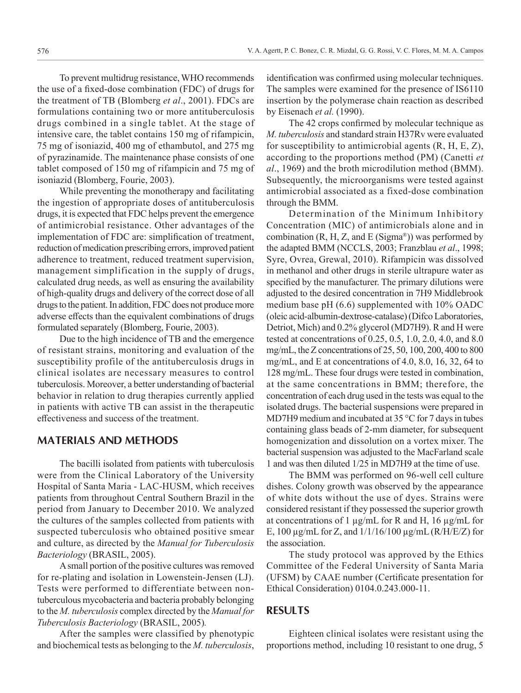To prevent multidrug resistance, WHO recommends the use of a fixed-dose combination (FDC) of drugs for the treatment of TB (Blomberg *et al*., 2001). FDCs are formulations containing two or more antituberculosis drugs combined in a single tablet. At the stage of intensive care, the tablet contains 150 mg of rifampicin, 75 mg of isoniazid, 400 mg of ethambutol, and 275 mg of pyrazinamide. The maintenance phase consists of one tablet composed of 150 mg of rifampicin and 75 mg of isoniazid (Blomberg, Fourie, 2003).

While preventing the monotherapy and facilitating the ingestion of appropriate doses of antituberculosis drugs, it is expected that FDC helps prevent the emergence of antimicrobial resistance. Other advantages of the implementation of FDC are: simplification of treatment, reduction of medication prescribing errors, improved patient adherence to treatment, reduced treatment supervision, management simplification in the supply of drugs, calculated drug needs, as well as ensuring the availability of high-quality drugs and delivery of the correct dose of all drugs to the patient. In addition, FDC does not produce more adverse effects than the equivalent combinations of drugs formulated separately (Blomberg, Fourie, 2003).

Due to the high incidence of TB and the emergence of resistant strains, monitoring and evaluation of the susceptibility profile of the antituberculosis drugs in clinical isolates are necessary measures to control tuberculosis. Moreover, a better understanding of bacterial behavior in relation to drug therapies currently applied in patients with active TB can assist in the therapeutic effectiveness and success of the treatment.

### **MATERIALS AND METHODS**

The bacilli isolated from patients with tuberculosis were from the Clinical Laboratory of the University Hospital of Santa Maria - LAC-HUSM, which receives patients from throughout Central Southern Brazil in the period from January to December 2010. We analyzed the cultures of the samples collected from patients with suspected tuberculosis who obtained positive smear and culture, as directed by the *Manual for Tuberculosis Bacteriology* (BRASIL, 2005).

A small portion of the positive cultures was removed for re-plating and isolation in Lowenstein-Jensen (LJ). Tests were performed to differentiate between nontuberculous mycobacteria and bacteria probably belonging to the *M. tuberculosis* complex directed by the *Manual for Tuberculosis Bacteriology* (BRASIL, 2005)*.*

After the samples were classified by phenotypic and biochemical tests as belonging to the *M. tuberculosis*, identification was confirmed using molecular techniques. The samples were examined for the presence of IS6110 insertion by the polymerase chain reaction as described by Eisenach *et al.* (1990).

The 42 crops confirmed by molecular technique as *M. tuberculosis* and standard strain H37Rv were evaluated for susceptibility to antimicrobial agents  $(R, H, E, Z)$ , according to the proportions method (PM) (Canetti *et al*., 1969) and the broth microdilution method (BMM). Subsequently, the microorganisms were tested against antimicrobial associated as a fixed-dose combination through the BMM.

Determination of the Minimum Inhibitory Concentration (MIC) of antimicrobials alone and in combination  $(R, H, Z, and E(Sigma^*)$ ) was performed by the adapted BMM (NCCLS, 2003; Franzblau *et al*., 1998; Syre, Ovrea, Grewal, 2010). Rifampicin was dissolved in methanol and other drugs in sterile ultrapure water as specified by the manufacturer. The primary dilutions were adjusted to the desired concentration in 7H9 Middlebrook medium base pH (6.6) supplemented with 10% OADC (oleic acid-albumin-dextrose-catalase) (Difco Laboratories, Detriot, Mich) and 0.2% glycerol (MD7H9). R and H were tested at concentrations of 0.25, 0.5, 1.0, 2.0, 4.0, and 8.0 mg/mL, the Z concentrations of 25, 50, 100, 200, 400 to 800 mg/mL, and E at concentrations of 4.0, 8.0, 16, 32, 64 to 128 mg/mL. These four drugs were tested in combination, at the same concentrations in BMM; therefore, the concentration of each drug used in the tests was equal to the isolated drugs. The bacterial suspensions were prepared in MD7H9 medium and incubated at 35 °C for 7 days in tubes containing glass beads of 2-mm diameter, for subsequent homogenization and dissolution on a vortex mixer. The bacterial suspension was adjusted to the MacFarland scale 1 and was then diluted 1/25 in MD7H9 at the time of use.

The BMM was performed on 96-well cell culture dishes. Colony growth was observed by the appearance of white dots without the use of dyes. Strains were considered resistant if they possessed the superior growth at concentrations of 1  $\mu$ g/mL for R and H, 16  $\mu$ g/mL for E, 100 µg/mL for Z, and 1/1/16/100 µg/mL (R/H/E/Z) for the association.

The study protocol was approved by the Ethics Committee of the Federal University of Santa Maria (UFSM) by CAAE number (Certificate presentation for Ethical Consideration) 0104.0.243.000-11.

### **RESULTS**

Eighteen clinical isolates were resistant using the proportions method, including 10 resistant to one drug, 5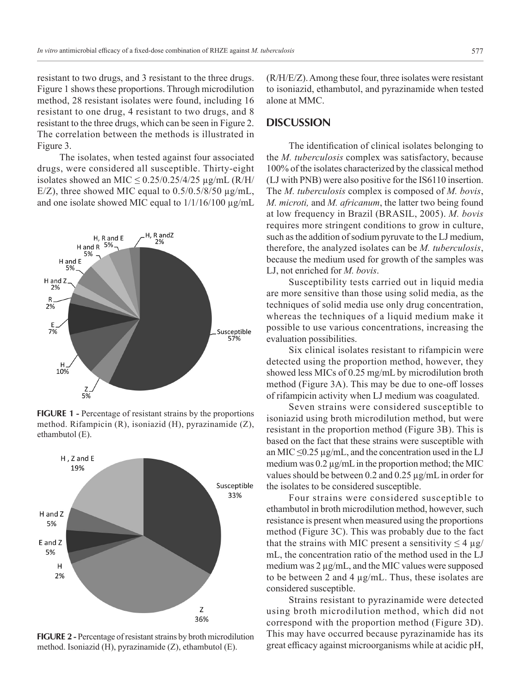resistant to two drugs, and 3 resistant to the three drugs. Figure 1 shows these proportions. Through microdilution method, 28 resistant isolates were found, including 16 resistant to one drug, 4 resistant to two drugs, and 8 resistant to the three drugs, which can be seen in Figure 2. The correlation between the methods is illustrated in Figure 3.

The isolates, when tested against four associated drugs, were considered all susceptible. Thirty-eight isolates showed an MIC  $\leq$  0.25/0.25/4/25  $\mu$ g/mL (R/H/ E/Z), three showed MIC equal to  $0.5/0.5/8/50 \mu g/mL$ , and one isolate showed MIC equal to 1/1/16/100 µg/mL



**FIGURE 1 - Percentage of resistant strains by the proportions** method. Rifampicin (R), isoniazid (H), pyrazinamide (Z), ethambutol (E).



**FIGURE 2** - Percentage of resistant strains by broth microdilution method. Isoniazid (H), pyrazinamide (Z), ethambutol (E).

(R/H/E/Z). Among these four, three isolates were resistant to isoniazid, ethambutol, and pyrazinamide when tested alone at MMC.

#### **DISCUSSION**

The identification of clinical isolates belonging to the *M. tuberculosis* complex was satisfactory, because 100% of the isolates characterized by the classical method (LJ with PNB) were also positive for the IS6110 insertion. The *M. tuberculosis* complex is composed of *M. bovis*, *M. microti,* and *M. africanum*, the latter two being found at low frequency in Brazil (BRASIL, 2005). *M. bovis* requires more stringent conditions to grow in culture, such as the addition of sodium pyruvate to the LJ medium, therefore, the analyzed isolates can be *M. tuberculosis*, because the medium used for growth of the samples was LJ, not enriched for *M. bovis*.

Susceptibility tests carried out in liquid media are more sensitive than those using solid media, as the techniques of solid media use only drug concentration, whereas the techniques of a liquid medium make it possible to use various concentrations, increasing the evaluation possibilities.

Six clinical isolates resistant to rifampicin were detected using the proportion method, however, they showed less MICs of 0.25 mg/mL by microdilution broth method (Figure 3A). This may be due to one-off losses of rifampicin activity when LJ medium was coagulated.

Seven strains were considered susceptible to isoniazid using broth microdilution method, but were resistant in the proportion method (Figure 3B). This is based on the fact that these strains were susceptible with an MIC  $\leq$ 0.25 µg/mL, and the concentration used in the LJ medium was  $0.2 \mu g/mL$  in the proportion method; the MIC values should be between 0.2 and 0.25 µg/mL in order for the isolates to be considered susceptible.

Four strains were considered susceptible to ethambutol in broth microdilution method, however, such resistance is present when measured using the proportions method (Figure 3C). This was probably due to the fact that the strains with MIC present a sensitivity  $\leq 4 \mu g$ / mL, the concentration ratio of the method used in the LJ medium was 2 µg/mL, and the MIC values were supposed to be between 2 and 4 µg/mL. Thus, these isolates are considered susceptible.

Strains resistant to pyrazinamide were detected using broth microdilution method, which did not correspond with the proportion method (Figure 3D). This may have occurred because pyrazinamide has its great efficacy against microorganisms while at acidic pH,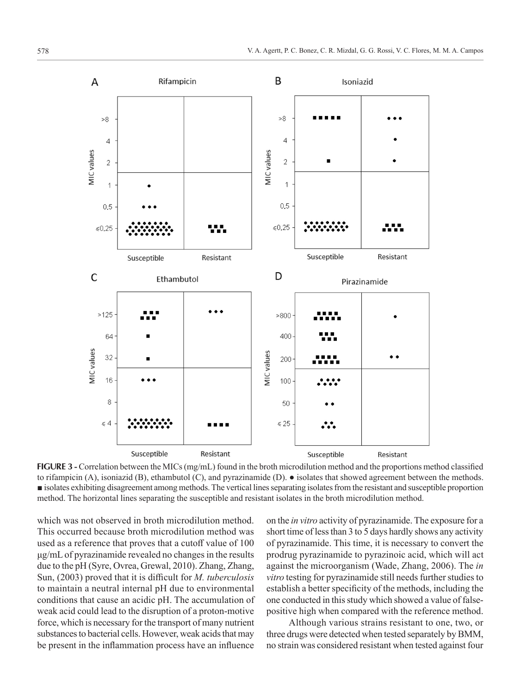

**FIGURE 3** - Correlation between the MICs (mg/mL) found in the broth microdilution method and the proportions method classified to rifampicin (A), isoniazid (B), ethambutol (C), and pyrazinamide (D).  $\bullet$  isolates that showed agreement between the methods. ■ isolates exhibiting disagreement among methods. The vertical lines separating isolates from the resistant and susceptible proportion method. The horizontal lines separating the susceptible and resistant isolates in the broth microdilution method.

which was not observed in broth microdilution method. This occurred because broth microdilution method was used as a reference that proves that a cutoff value of 100 μg/mL of pyrazinamide revealed no changes in the results due to the pH (Syre, Ovrea, Grewal, 2010). Zhang, Zhang, Sun, (2003) proved that it is difficult for *M. tuberculosis* to maintain a neutral internal pH due to environmental conditions that cause an acidic pH. The accumulation of weak acid could lead to the disruption of a proton-motive force, which is necessary for the transport of many nutrient substances to bacterial cells. However, weak acids that may be present in the inflammation process have an influence

on the *in vitro* activity of pyrazinamide. The exposure for a short time of less than 3 to 5 days hardly shows any activity of pyrazinamide. This time, it is necessary to convert the prodrug pyrazinamide to pyrazinoic acid, which will act against the microorganism (Wade, Zhang, 2006). The *in vitro* testing for pyrazinamide still needs further studies to establish a better specificity of the methods, including the one conducted in this study which showed a value of falsepositive high when compared with the reference method.

Although various strains resistant to one, two, or three drugs were detected when tested separately by BMM, no strain was considered resistant when tested against four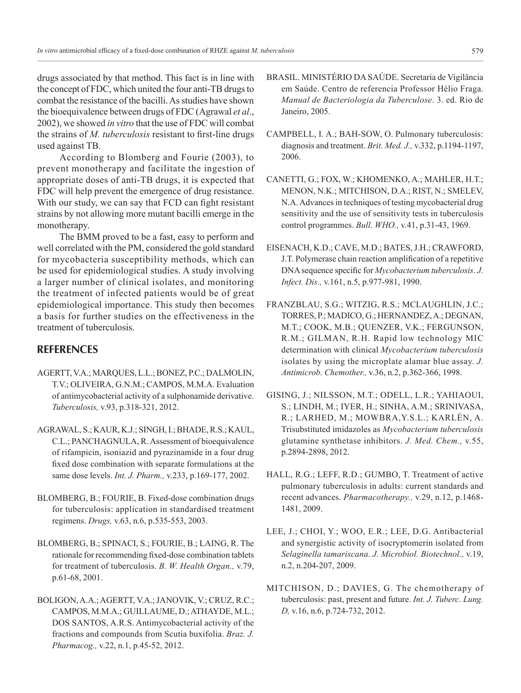drugs associated by that method. This fact is in line with the concept of FDC, which united the four anti-TB drugs to combat the resistance of the bacilli. As studies have shown the bioequivalence between drugs of FDC (Agrawal *et al*., 2002), we showed *in vitro* that the use of FDC will combat the strains of *M. tuberculosis* resistant to first-line drugs used against TB.

According to Blomberg and Fourie (2003), to prevent monotherapy and facilitate the ingestion of appropriate doses of anti-TB drugs, it is expected that FDC will help prevent the emergence of drug resistance. With our study, we can say that FCD can fight resistant strains by not allowing more mutant bacilli emerge in the monotherapy.

The BMM proved to be a fast, easy to perform and well correlated with the PM, considered the gold standard for mycobacteria susceptibility methods, which can be used for epidemiological studies. A study involving a larger number of clinical isolates, and monitoring the treatment of infected patients would be of great epidemiological importance. This study then becomes a basis for further studies on the effectiveness in the treatment of tuberculosis.

# **REFERENCES**

- AGERTT, V.A.; MARQUES, L.L.; BONEZ, P.C.; DALMOLIN, T.V.; OLIVEIRA, G.N.M.; CAMPOS, M.M.A. Evaluation of antimycobacterial activity of a sulphonamide derivative. *Tuberculosis,* v.93, p.318-321, 2012.
- AGRAWAL, S.; KAUR, K.J.; SINGH, I.; BHADE, R.S.; KAUL, C.L.; PANCHAGNULA, R. Assessment of bioequivalence of rifampicin, isoniazid and pyrazinamide in a four drug fixed dose combination with separate formulations at the same dose levels. *Int. J. Pharm.,* v.233, p.169-177, 2002.
- BLOMBERG, B.; FOURIE, B. Fixed-dose combination drugs for tuberculosis: application in standardised treatment regimens. *Drugs,* v.63, n.6, p.535-553, 2003.
- BLOMBERG, B.; SPINACI, S.; FOURIE, B.; LAING, R. The rationale for recommending fixed-dose combination tablets for treatment of tuberculosis. *B. W. Health Organ.,* v.79, p.61-68, 2001.
- BOLIGON, A.A.; AGERTT, V.A.; JANOVIK, V.; CRUZ, R.C.; CAMPOS, M.M.A.; GUILLAUME, D.; ATHAYDE, M.L.; DOS SANTOS, A.R.S. Antimycobacterial activity of the fractions and compounds from Scutia buxifolia. *Braz. J. Pharmacog.,* v.22, n.1, p.45-52, 2012.
- BRASIL. MINISTÉRIO DA SAÚDE. Secretaria de Vigilância em Saúde. Centro de referencia Professor Hélio Fraga. *Manual de Bacteriologia da Tuberculose*. 3. ed. Rio de Janeiro, 2005.
- CAMPBELL, I. A.; BAH-SOW, O. Pulmonary tuberculosis: diagnosis and treatment. *Brit. Med. J.,* v.332, p.1194-1197, 2006.
- CANETTI, G.; FOX, W.; KHOMENKO, A.; MAHLER, H.T.; MENON, N.K.; MITCHISON, D.A.; RIST, N.; SMELEV, N.A. Advances in techniques of testing mycobacterial drug sensitivity and the use of sensitivity tests in tuberculosis control programmes. *Bull. WHO.,* v.41, p.31-43, 1969.
- EISENACH, K.D.; CAVE, M.D.; BATES, J.H.; CRAWFORD, J.T. Polymerase chain reaction amplification of a repetitive DNA sequence specific for *Mycobacterium tuberculosis*. *J. Infect. Dis.,* v.161, n.5, p.977-981, 1990.
- FRANZBLAU, S.G.; WITZIG, R.S.; MCLAUGHLIN, J.C.; TORRES, P.; MADICO, G.; HERNANDEZ, A.; DEGNAN, M.T.; COOK, M.B.; QUENZER, V.K.; FERGUNSON, R.M.; GILMAN, R.H. Rapid low technology MIC determination with clinical *Mycobacterium tuberculosis*  isolates by using the microplate alamar blue assay. *J. Antimicrob. Chemother.,* v.36, n.2, p.362-366, 1998.
- GISING, J.; NILSSON, M.T.; ODELL, L.R.; YAHIAOUI, S.; LINDH, M.; IYER, H.; SINHA, A.M.; SRINIVASA, R.; LARHED, M.; MOWBRA,Y.S.L.; KARLÉN, A. Trisubstituted imidazoles as *Mycobacterium tuberculosis* glutamine synthetase inhibitors. *J. Med. Chem.,* v.55, p.2894-2898, 2012.
- HALL, R.G.; LEFF, R.D.; GUMBO, T. Treatment of active pulmonary tuberculosis in adults: current standards and recent advances. *Pharmacotherapy.,* v.29, n.12, p.1468- 1481, 2009.
- LEE, J.; CHOI, Y.; WOO, E.R.; LEE, D.G. Antibacterial and synergistic activity of isocryptomerin isolated from *Selaginella tamariscana*. *J. Microbiol. Biotechnol.,* v.19, n.2, n.204-207, 2009.
- MITCHISON, D.; DAVIES, G. The chemotherapy of tuberculosis: past, present and future. *Int. J. Tuberc. Lung. D,* v.16, n.6, p.724-732, 2012.